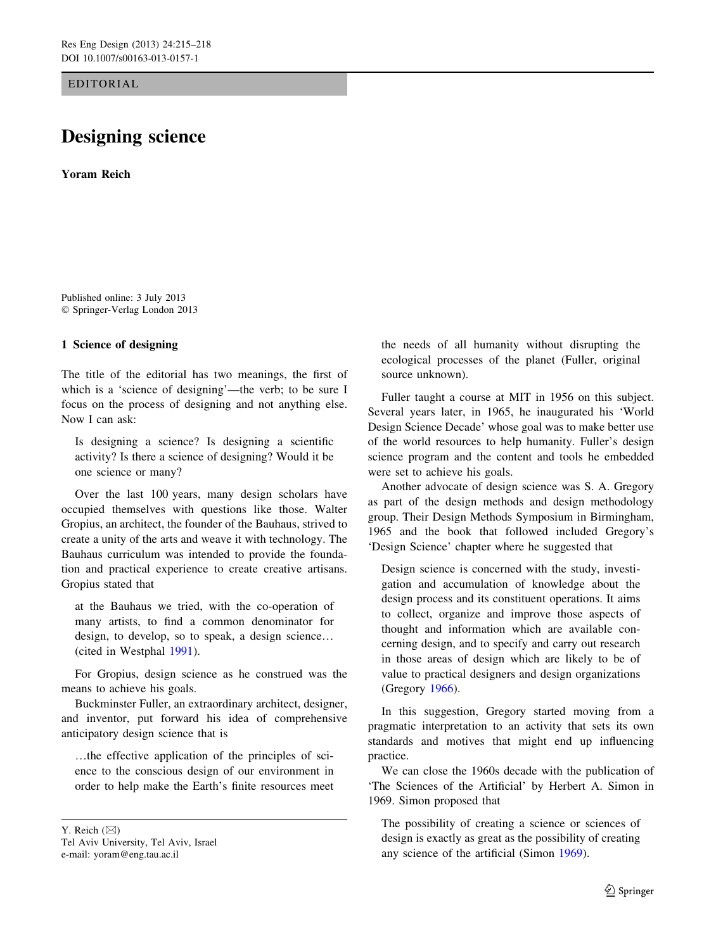EDITORIAL

## Designing science

Yoram Reich

Published online: 3 July 2013 © Springer-Verlag London 2013

## 1 Science of designing

The title of the editorial has two meanings, the first of which is a 'science of designing'—the verb; to be sure I focus on the process of designing and not anything else. Now I can ask:

Is designing a science? Is designing a scientific activity? Is there a science of designing? Would it be one science or many?

Over the last 100 years, many design scholars have occupied themselves with questions like those. Walter Gropius, an architect, the founder of the Bauhaus, strived to create a unity of the arts and weave it with technology. The Bauhaus curriculum was intended to provide the foundation and practical experience to create creative artisans. Gropius stated that

at the Bauhaus we tried, with the co-operation of many artists, to find a common denominator for design, to develop, so to speak, a design science… (cited in Westphal [1991\)](#page-3-0).

For Gropius, design science as he construed was the means to achieve his goals.

Buckminster Fuller, an extraordinary architect, designer, and inventor, put forward his idea of comprehensive anticipatory design science that is

…the effective application of the principles of science to the conscious design of our environment in order to help make the Earth's finite resources meet the needs of all humanity without disrupting the ecological processes of the planet (Fuller, original source unknown).

Fuller taught a course at MIT in 1956 on this subject. Several years later, in 1965, he inaugurated his 'World Design Science Decade' whose goal was to make better use of the world resources to help humanity. Fuller's design science program and the content and tools he embedded were set to achieve his goals.

Another advocate of design science was S. A. Gregory as part of the design methods and design methodology group. Their Design Methods Symposium in Birmingham, 1965 and the book that followed included Gregory's 'Design Science' chapter where he suggested that

Design science is concerned with the study, investigation and accumulation of knowledge about the design process and its constituent operations. It aims to collect, organize and improve those aspects of thought and information which are available concerning design, and to specify and carry out research in those areas of design which are likely to be of value to practical designers and design organizations (Gregory [1966](#page-3-0)).

In this suggestion, Gregory started moving from a pragmatic interpretation to an activity that sets its own standards and motives that might end up influencing practice.

We can close the 1960s decade with the publication of 'The Sciences of the Artificial' by Herbert A. Simon in 1969. Simon proposed that

The possibility of creating a science or sciences of design is exactly as great as the possibility of creating any science of the artificial (Simon [1969\)](#page-3-0).

Y. Reich  $(\boxtimes)$ Tel Aviv University, Tel Aviv, Israel e-mail: yoram@eng.tau.ac.il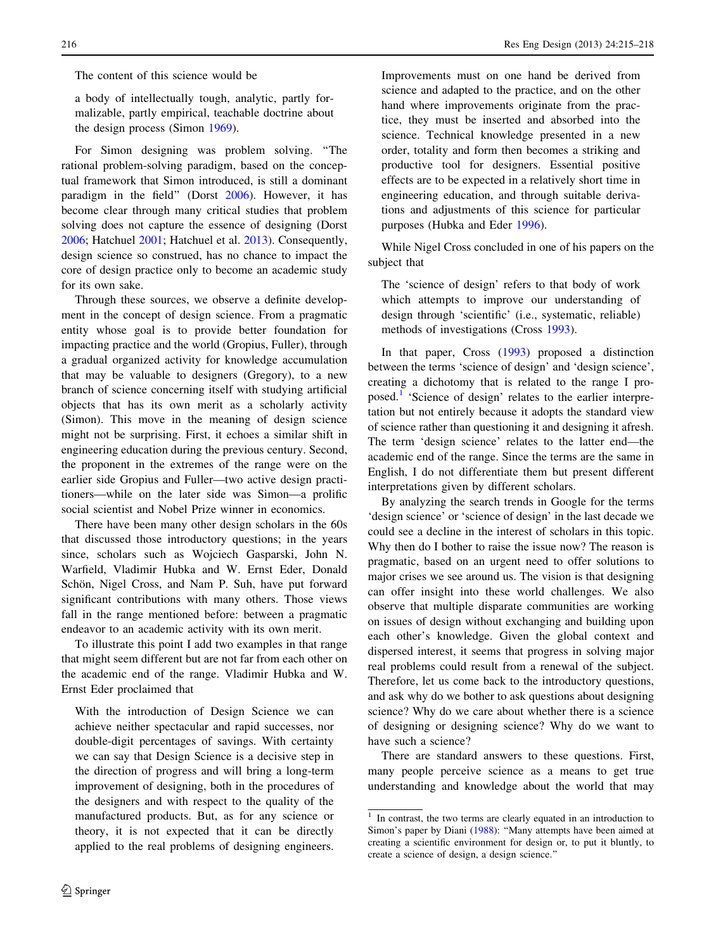The content of this science would be

a body of intellectually tough, analytic, partly formalizable, partly empirical, teachable doctrine about the design process (Simon [1969](#page-3-0)).

For Simon designing was problem solving. ''The rational problem-solving paradigm, based on the conceptual framework that Simon introduced, is still a dominant paradigm in the field'' (Dorst [2006](#page-3-0)). However, it has become clear through many critical studies that problem solving does not capture the essence of designing (Dorst [2006;](#page-3-0) Hatchuel [2001;](#page-3-0) Hatchuel et al. [2013\)](#page-3-0). Consequently, design science so construed, has no chance to impact the core of design practice only to become an academic study for its own sake.

Through these sources, we observe a definite development in the concept of design science. From a pragmatic entity whose goal is to provide better foundation for impacting practice and the world (Gropius, Fuller), through a gradual organized activity for knowledge accumulation that may be valuable to designers (Gregory), to a new branch of science concerning itself with studying artificial objects that has its own merit as a scholarly activity (Simon). This move in the meaning of design science might not be surprising. First, it echoes a similar shift in engineering education during the previous century. Second, the proponent in the extremes of the range were on the earlier side Gropius and Fuller—two active design practitioners—while on the later side was Simon—a prolific social scientist and Nobel Prize winner in economics.

There have been many other design scholars in the 60s that discussed those introductory questions; in the years since, scholars such as Wojciech Gasparski, John N. Warfield, Vladimir Hubka and W. Ernst Eder, Donald Schön, Nigel Cross, and Nam P. Suh, have put forward significant contributions with many others. Those views fall in the range mentioned before: between a pragmatic endeavor to an academic activity with its own merit.

To illustrate this point I add two examples in that range that might seem different but are not far from each other on the academic end of the range. Vladimir Hubka and W. Ernst Eder proclaimed that

With the introduction of Design Science we can achieve neither spectacular and rapid successes, nor double-digit percentages of savings. With certainty we can say that Design Science is a decisive step in the direction of progress and will bring a long-term improvement of designing, both in the procedures of the designers and with respect to the quality of the manufactured products. But, as for any science or theory, it is not expected that it can be directly applied to the real problems of designing engineers.

Improvements must on one hand be derived from science and adapted to the practice, and on the other hand where improvements originate from the practice, they must be inserted and absorbed into the science. Technical knowledge presented in a new order, totality and form then becomes a striking and productive tool for designers. Essential positive effects are to be expected in a relatively short time in engineering education, and through suitable derivations and adjustments of this science for particular purposes (Hubka and Eder [1996\)](#page-3-0).

While Nigel Cross concluded in one of his papers on the subject that

The 'science of design' refers to that body of work which attempts to improve our understanding of design through 'scientific' (i.e., systematic, reliable) methods of investigations (Cross [1993\)](#page-3-0).

In that paper, Cross ([1993\)](#page-3-0) proposed a distinction between the terms 'science of design' and 'design science', creating a dichotomy that is related to the range I proposed.<sup>1</sup> 'Science of design' relates to the earlier interpretation but not entirely because it adopts the standard view of science rather than questioning it and designing it afresh. The term 'design science' relates to the latter end—the academic end of the range. Since the terms are the same in English, I do not differentiate them but present different interpretations given by different scholars.

By analyzing the search trends in Google for the terms 'design science' or 'science of design' in the last decade we could see a decline in the interest of scholars in this topic. Why then do I bother to raise the issue now? The reason is pragmatic, based on an urgent need to offer solutions to major crises we see around us. The vision is that designing can offer insight into these world challenges. We also observe that multiple disparate communities are working on issues of design without exchanging and building upon each other's knowledge. Given the global context and dispersed interest, it seems that progress in solving major real problems could result from a renewal of the subject. Therefore, let us come back to the introductory questions, and ask why do we bother to ask questions about designing science? Why do we care about whether there is a science of designing or designing science? Why do we want to have such a science?

There are standard answers to these questions. First, many people perceive science as a means to get true understanding and knowledge about the world that may

<sup>&</sup>lt;sup>1</sup> In contrast, the two terms are clearly equated in an introduction to Simon's paper by Diani ([1988\)](#page-3-0): ''Many attempts have been aimed at creating a scientific environment for design or, to put it bluntly, to create a science of design, a design science.''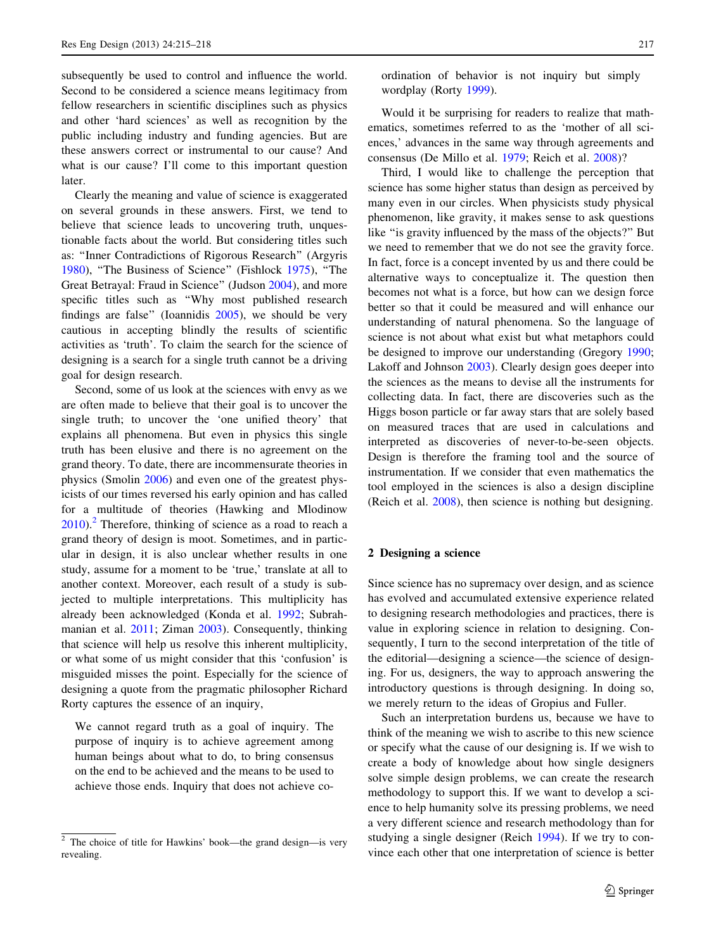subsequently be used to control and influence the world. Second to be considered a science means legitimacy from fellow researchers in scientific disciplines such as physics and other 'hard sciences' as well as recognition by the public including industry and funding agencies. But are these answers correct or instrumental to our cause? And what is our cause? I'll come to this important question later.

Clearly the meaning and value of science is exaggerated on several grounds in these answers. First, we tend to believe that science leads to uncovering truth, unquestionable facts about the world. But considering titles such as: ''Inner Contradictions of Rigorous Research'' (Argyris [1980\)](#page-3-0), ''The Business of Science'' (Fishlock [1975](#page-3-0)), ''The Great Betrayal: Fraud in Science'' (Judson [2004](#page-3-0)), and more specific titles such as ''Why most published research findings are false'' (Ioannidis [2005](#page-3-0)), we should be very cautious in accepting blindly the results of scientific activities as 'truth'. To claim the search for the science of designing is a search for a single truth cannot be a driving goal for design research.

Second, some of us look at the sciences with envy as we are often made to believe that their goal is to uncover the single truth; to uncover the 'one unified theory' that explains all phenomena. But even in physics this single truth has been elusive and there is no agreement on the grand theory. To date, there are incommensurate theories in physics (Smolin [2006](#page-3-0)) and even one of the greatest physicists of our times reversed his early opinion and has called for a multitude of theories (Hawking and Mlodinow [2010\)](#page-3-0).<sup>2</sup> Therefore, thinking of science as a road to reach a grand theory of design is moot. Sometimes, and in particular in design, it is also unclear whether results in one study, assume for a moment to be 'true,' translate at all to another context. Moreover, each result of a study is subjected to multiple interpretations. This multiplicity has already been acknowledged (Konda et al. [1992](#page-3-0); Subrahmanian et al. [2011;](#page-3-0) Ziman [2003](#page-3-0)). Consequently, thinking that science will help us resolve this inherent multiplicity, or what some of us might consider that this 'confusion' is misguided misses the point. Especially for the science of designing a quote from the pragmatic philosopher Richard Rorty captures the essence of an inquiry,

We cannot regard truth as a goal of inquiry. The purpose of inquiry is to achieve agreement among human beings about what to do, to bring consensus on the end to be achieved and the means to be used to achieve those ends. Inquiry that does not achieve coordination of behavior is not inquiry but simply wordplay (Rorty [1999\)](#page-3-0).

Would it be surprising for readers to realize that mathematics, sometimes referred to as the 'mother of all sciences,' advances in the same way through agreements and consensus (De Millo et al. [1979](#page-3-0); Reich et al. [2008\)](#page-3-0)?

Third, I would like to challenge the perception that science has some higher status than design as perceived by many even in our circles. When physicists study physical phenomenon, like gravity, it makes sense to ask questions like ''is gravity influenced by the mass of the objects?'' But we need to remember that we do not see the gravity force. In fact, force is a concept invented by us and there could be alternative ways to conceptualize it. The question then becomes not what is a force, but how can we design force better so that it could be measured and will enhance our understanding of natural phenomena. So the language of science is not about what exist but what metaphors could be designed to improve our understanding (Gregory [1990](#page-3-0); Lakoff and Johnson [2003\)](#page-3-0). Clearly design goes deeper into the sciences as the means to devise all the instruments for collecting data. In fact, there are discoveries such as the Higgs boson particle or far away stars that are solely based on measured traces that are used in calculations and interpreted as discoveries of never-to-be-seen objects. Design is therefore the framing tool and the source of instrumentation. If we consider that even mathematics the tool employed in the sciences is also a design discipline (Reich et al. [2008\)](#page-3-0), then science is nothing but designing.

## 2 Designing a science

Since science has no supremacy over design, and as science has evolved and accumulated extensive experience related to designing research methodologies and practices, there is value in exploring science in relation to designing. Consequently, I turn to the second interpretation of the title of the editorial—designing a science—the science of designing. For us, designers, the way to approach answering the introductory questions is through designing. In doing so, we merely return to the ideas of Gropius and Fuller.

Such an interpretation burdens us, because we have to think of the meaning we wish to ascribe to this new science or specify what the cause of our designing is. If we wish to create a body of knowledge about how single designers solve simple design problems, we can create the research methodology to support this. If we want to develop a science to help humanity solve its pressing problems, we need a very different science and research methodology than for studying a single designer (Reich [1994](#page-3-0)). If we try to convince each other that one interpretation of science is better

<sup>2</sup> The choice of title for Hawkins' book—the grand design—is very revealing.